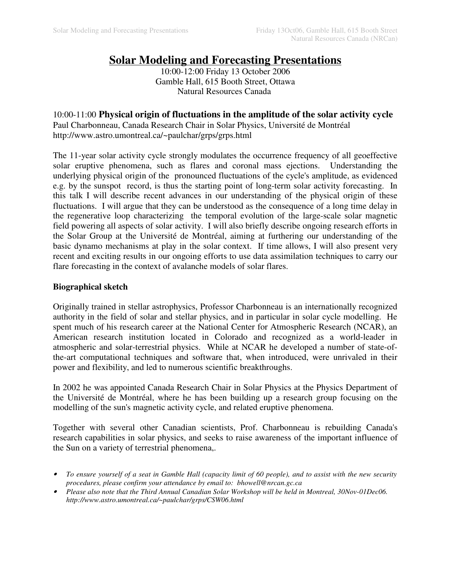# **Solar Modeling and Forecasting Presentations**

10:00-12:00 Friday 13 October 2006 Gamble Hall, 615 Booth Street, Ottawa Natural Resources Canada

10:00-11:00 **Physical origin of fluctuations in the amplitude of the solar activity cycle** Paul Charbonneau, Canada Research Chair in Solar Physics, Université de Montréal http://www.astro.umontreal.ca/~paulchar/grps/grps.html

The 11-year solar activity cycle strongly modulates the occurrence frequency of all geoeffective solar eruptive phenomena, such as flares and coronal mass ejections. Understanding the underlying physical origin of the pronounced fluctuations of the cycle's amplitude, as evidenced e.g. by the sunspot record, is thus the starting point of long-term solar activity forecasting. In this talk I will describe recent advances in our understanding of the physical origin of these fluctuations. I will argue that they can be understood as the consequence of a long time delay in the regenerative loop characterizing the temporal evolution of the large-scale solar magnetic field powering all aspects of solar activity. I will also briefly describe ongoing research efforts in the Solar Group at the Université de Montréal, aiming at furthering our understanding of the basic dynamo mechanisms at play in the solar context. If time allows, I will also present very recent and exciting results in our ongoing efforts to use data assimilation techniques to carry our flare forecasting in the context of avalanche models of solar flares.

### **Biographical sketch**

Originally trained in stellar astrophysics, Professor Charbonneau is an internationally recognized authority in the field of solar and stellar physics, and in particular in solar cycle modelling. He spent much of his research career at the National Center for Atmospheric Research (NCAR), an American research institution located in Colorado and recognized as a world-leader in atmospheric and solar-terrestrial physics. While at NCAR he developed a number of state-ofthe-art computational techniques and software that, when introduced, were unrivaled in their power and flexibility, and led to numerous scientific breakthroughs.

In 2002 he was appointed Canada Research Chair in Solar Physics at the Physics Department of the Université de Montréal, where he has been building up a research group focusing on the modelling of the sun's magnetic activity cycle, and related eruptive phenomena.

Together with several other Canadian scientists, Prof. Charbonneau is rebuilding Canada's research capabilities in solar physics, and seeks to raise awareness of the important influence of the Sun on a variety of terrestrial phenomena,.

- *To ensure yourself of a seat in Gamble Hall (capacity limit of 60 people), and to assist with the new security procedures, please confirm your attendance by email to: bhowell@nrcan.gc.ca*
- *Please also note that the Third Annual Canadian Solar Workshop will be held in Montreal, 30Nov-01Dec06. http://www.astro.umontreal.ca/~paulchar/grps/CSW06.html*